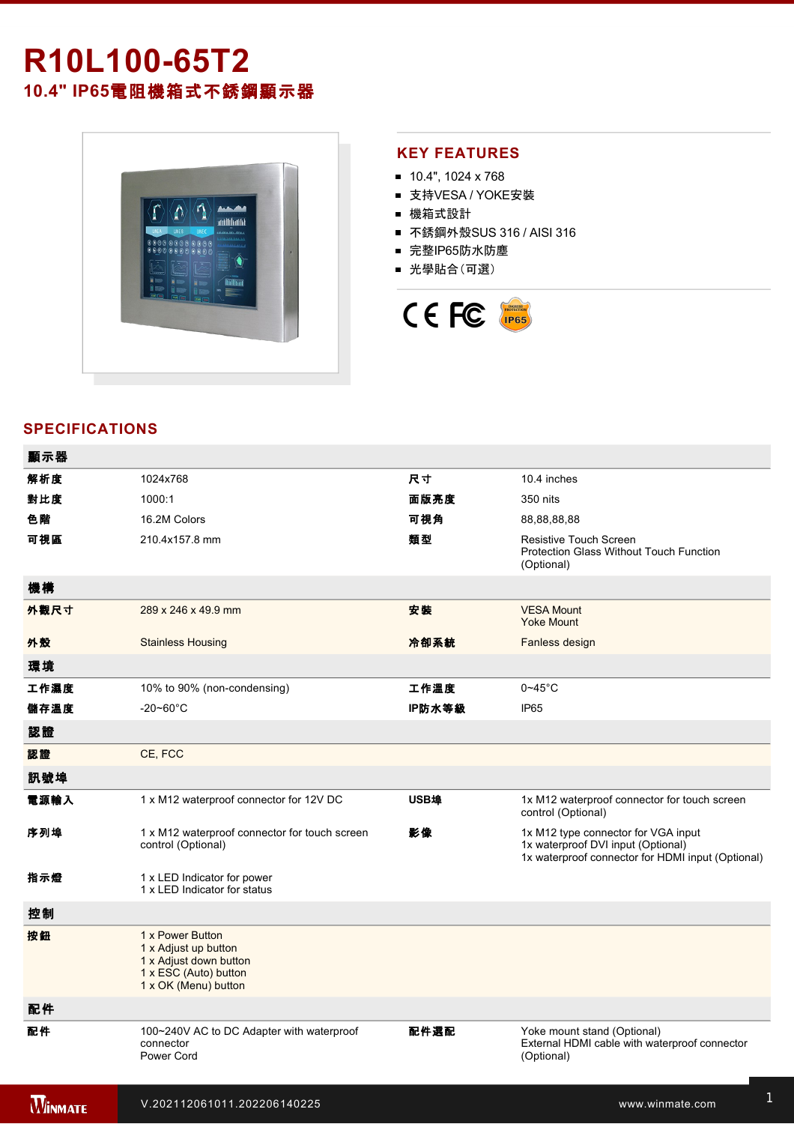# **R10L10065T2 10.4" IP65**電阻機箱式不銹鋼顯示器



### **KEY FEATURES**

- $10.4$ ", 1024 x 768
- 支持VESA / YOKE安裝
- 機箱式設計
- 不銹鋼外殼SUS 316 / AISI 316
- 完整IP65防水防塵
- 光學貼合(可選)



## **SPECIFICATIONS**

| 顯示器            |                                                                                                                     |        |                                                                                                                                |
|----------------|---------------------------------------------------------------------------------------------------------------------|--------|--------------------------------------------------------------------------------------------------------------------------------|
| 解析度            | 1024x768                                                                                                            | 尺寸     | 10.4 inches                                                                                                                    |
| 對比度            | 1000:1                                                                                                              | 面版亮度   | 350 nits                                                                                                                       |
| 色階             | 16.2M Colors                                                                                                        | 可視角    | 88,88,88,88                                                                                                                    |
| 可視區            | 210.4x157.8 mm                                                                                                      | 類型     | Resistive Touch Screen<br><b>Protection Glass Without Touch Function</b><br>(Optional)                                         |
| 機構             |                                                                                                                     |        |                                                                                                                                |
| 外觀尺寸           | 289 x 246 x 49.9 mm                                                                                                 | 安装     | <b>VESA Mount</b><br><b>Yoke Mount</b>                                                                                         |
| 外殼             | <b>Stainless Housing</b>                                                                                            | 冷卻系統   | Fanless design                                                                                                                 |
| 環境             |                                                                                                                     |        |                                                                                                                                |
| 工作濕度           | 10% to 90% (non-condensing)                                                                                         | 工作溫度   | $0 - 45$ °C                                                                                                                    |
| 儲存溫度           | $-20 - 60^{\circ}$ C                                                                                                | IP防水等級 | <b>IP65</b>                                                                                                                    |
| 認證             |                                                                                                                     |        |                                                                                                                                |
| 認證             | CE, FCC                                                                                                             |        |                                                                                                                                |
| 訊號埠            |                                                                                                                     |        |                                                                                                                                |
| 電源輸入           | 1 x M12 waterproof connector for 12V DC                                                                             | USB埠   | 1x M12 waterproof connector for touch screen<br>control (Optional)                                                             |
| 序列埠            | 1 x M12 waterproof connector for touch screen<br>control (Optional)                                                 | 影像     | 1x M12 type connector for VGA input<br>1x waterproof DVI input (Optional)<br>1x waterproof connector for HDMI input (Optional) |
| 指示燈            | 1 x LED Indicator for power<br>1 x LED Indicator for status                                                         |        |                                                                                                                                |
| 控制             |                                                                                                                     |        |                                                                                                                                |
| 按鈕             | 1 x Power Button<br>1 x Adjust up button<br>1 x Adjust down button<br>1 x ESC (Auto) button<br>1 x OK (Menu) button |        |                                                                                                                                |
| 配件             |                                                                                                                     |        |                                                                                                                                |
| 配件             | 100~240V AC to DC Adapter with waterproof<br>connector<br>Power Cord                                                | 配件選配   | Yoke mount stand (Optional)<br>External HDMI cable with waterproof connector<br>(Optional)                                     |
| <b>WINMATE</b> | V.202112061011.202206140225                                                                                         |        | www.winmate.com                                                                                                                |

 $\mathbb{R}^3$ 232 cable with waterproof connector with waterproof connector  $\mathbb{R}^3$